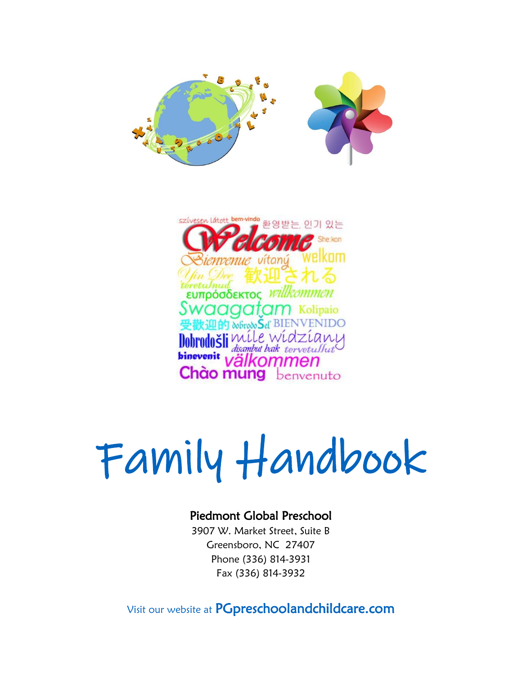



# Family Handbook

### Piedmont Global Preschool

3907 W. Market Street, Suite B Greensboro, NC 27407 Phone (336) 814-3931 Fax (336) 814-3932

Visit our website at PGpreschoolandchildcare.com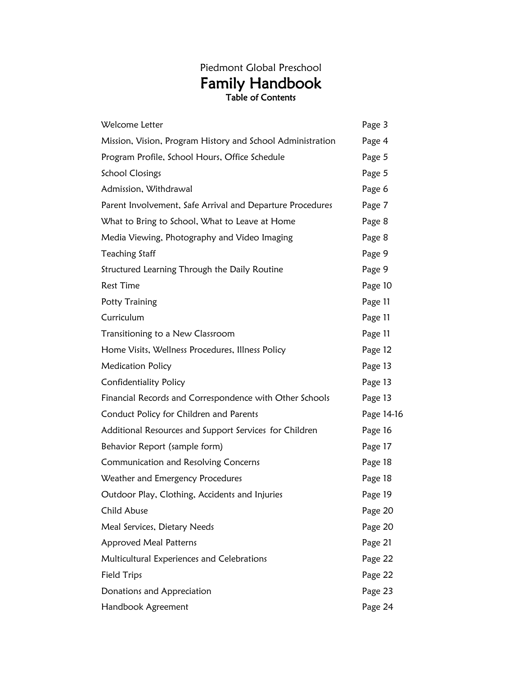## Piedmont Global Preschool Family Handbook Table of Contents

| Welcome Letter                                             | Page 3     |
|------------------------------------------------------------|------------|
| Mission, Vision, Program History and School Administration | Page 4     |
| Program Profile, School Hours, Office Schedule             | Page 5     |
| <b>School Closings</b>                                     | Page 5     |
| Admission, Withdrawal                                      | Page 6     |
| Parent Involvement, Safe Arrival and Departure Procedures  | Page 7     |
| What to Bring to School, What to Leave at Home             | Page 8     |
| Media Viewing, Photography and Video Imaging               | Page 8     |
| Teaching Staff                                             | Page 9     |
| Structured Learning Through the Daily Routine              | Page 9     |
| <b>Rest Time</b>                                           | Page 10    |
| Potty Training                                             | Page 11    |
| Curriculum                                                 | Page 11    |
| Transitioning to a New Classroom                           | Page 11    |
| Home Visits, Wellness Procedures, Illness Policy           | Page 12    |
| <b>Medication Policy</b>                                   | Page 13    |
| Confidentiality Policy                                     | Page 13    |
| Financial Records and Correspondence with Other Schools    | Page 13    |
| Conduct Policy for Children and Parents                    | Page 14-16 |
| Additional Resources and Support Services for Children     | Page 16    |
| Behavior Report (sample form)                              | Page 17    |
| Communication and Resolving Concerns                       | Page 18    |
| Weather and Emergency Procedures                           | Page 18    |
| Outdoor Play, Clothing, Accidents and Injuries             | Page 19    |
| Child Abuse                                                | Page 20    |
| Meal Services, Dietary Needs                               | Page 20    |
| <b>Approved Meal Patterns</b>                              | Page 21    |
| Multicultural Experiences and Celebrations                 | Page 22    |
| <b>Field Trips</b>                                         | Page 22    |
| Donations and Appreciation                                 | Page 23    |
| Handbook Agreement                                         | Page 24    |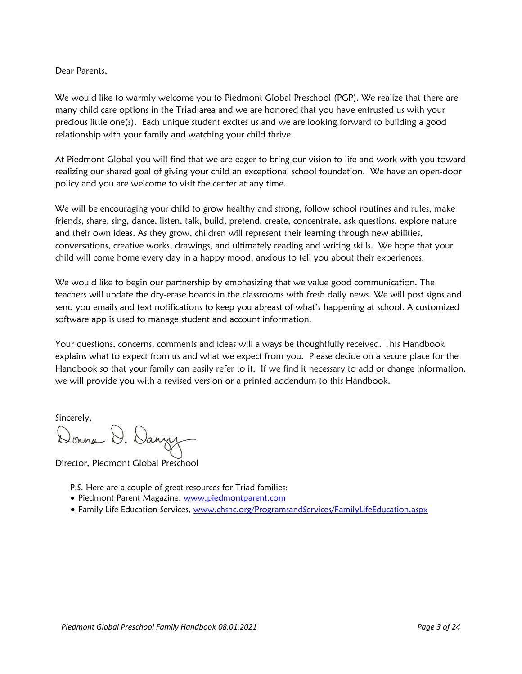#### Dear Parents,

We would like to warmly welcome you to Piedmont Global Preschool (PGP). We realize that there are many child care options in the Triad area and we are honored that you have entrusted us with your precious little one(s). Each unique student excites us and we are looking forward to building a good relationship with your family and watching your child thrive.

At Piedmont Global you will find that we are eager to bring our vision to life and work with you toward realizing our shared goal of giving your child an exceptional school foundation. We have an open-door policy and you are welcome to visit the center at any time.

We will be encouraging your child to grow healthy and strong, follow school routines and rules, make friends, share, sing, dance, listen, talk, build, pretend, create, concentrate, ask questions, explore nature and their own ideas. As they grow, children will represent their learning through new abilities, conversations, creative works, drawings, and ultimately reading and writing skills. We hope that your child will come home every day in a happy mood, anxious to tell you about their experiences.

We would like to begin our partnership by emphasizing that we value good communication. The teachers will update the dry-erase boards in the classrooms with fresh daily news. We will post signs and send you emails and text notifications to keep you abreast of what's happening at school. A customized software app is used to manage student and account information.

Your questions, concerns, comments and ideas will always be thoughtfully received. This Handbook explains what to expect from us and what we expect from you. Please decide on a secure place for the Handbook so that your family can easily refer to it. If we find it necessary to add or change information, we will provide you with a revised version or a printed addendum to this Handbook.

Sincerely,

Donna D. Danyy

Director, Piedmont Global Preschool

- P.S. Here are a couple of great resources for Triad families:
- Piedmont Parent Magazine, [www.piedmontparent.com](http://www.piedmontparent.com/)
- Family Life Education Services, [www.chsnc.org/ProgramsandServices/FamilyLifeEducation.aspx](http://www.chsnc.org/ProgramsandServices/FamilyLifeEducation.aspx)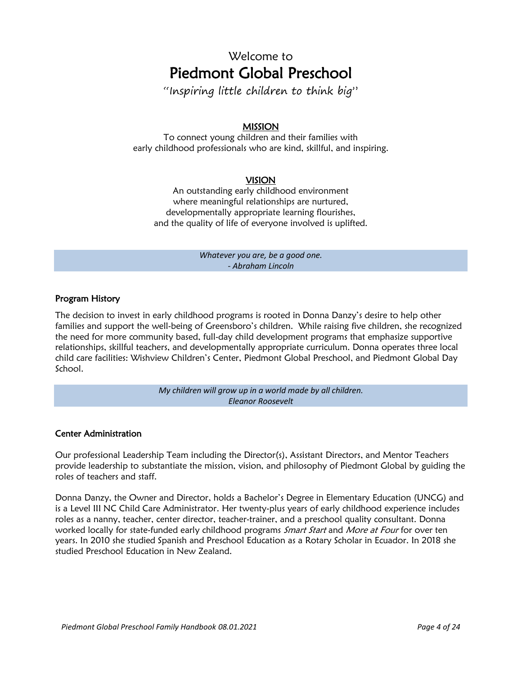# Welcome to Piedmont Global Preschool

"Inspiring little children to think big"

#### MISSION

To connect young children and their families with early childhood professionals who are kind, skillful, and inspiring.

#### VISION

An outstanding early childhood environment where meaningful relationships are nurtured, developmentally appropriate learning flourishes, and the quality of life of everyone involved is uplifted.

> *Whatever you are, be a good one. - Abraham Lincoln*

#### Program History

The decision to invest in early childhood programs is rooted in Donna Danzy's desire to help other families and support the well-being of Greensboro's children. While raising five children, she recognized the need for more community based, full-day child development programs that emphasize supportive relationships, skillful teachers, and developmentally appropriate curriculum. Donna operates three local child care facilities: Wishview Children's Center, Piedmont Global Preschool, and Piedmont Global Day School.

> *My children will grow up in a world made by all children. Eleanor Roosevelt*

#### Center Administration

Our professional Leadership Team including the Director(s), Assistant Directors, and Mentor Teachers provide leadership to substantiate the mission, vision, and philosophy of Piedmont Global by guiding the roles of teachers and staff.

Donna Danzy, the Owner and Director, holds a Bachelor's Degree in Elementary Education (UNCG) and is a Level III NC Child Care Administrator. Her twenty-plus years of early childhood experience includes roles as a nanny, teacher, center director, teacher-trainer, and a preschool quality consultant. Donna worked locally for state-funded early childhood programs *Smart Start* and *More at Four* for over ten years. In 2010 she studied Spanish and Preschool Education as a Rotary Scholar in Ecuador. In 2018 she studied Preschool Education in New Zealand.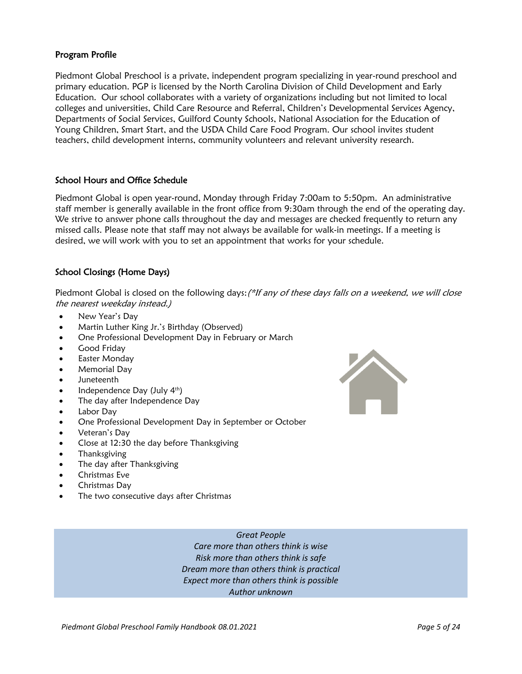#### Program Profile

Piedmont Global Preschool is a private, independent program specializing in year-round preschool and primary education. PGP is licensed by the North Carolina Division of Child Development and Early Education. Our school collaborates with a variety of organizations including but not limited to local colleges and universities, Child Care Resource and Referral, Children's Developmental Services Agency, Departments of Social Services, Guilford County Schools, National Association for the Education of Young Children, Smart Start, and the USDA Child Care Food Program. Our school invites student teachers, child development interns, community volunteers and relevant university research.

#### School Hours and Office Schedule

Piedmont Global is open year-round, Monday through Friday 7:00am to 5:50pm. An administrative staff member is generally available in the front office from 9:30am through the end of the operating day. We strive to answer phone calls throughout the day and messages are checked frequently to return any missed calls. Please note that staff may not always be available for walk-in meetings. If a meeting is desired, we will work with you to set an appointment that works for your schedule.

#### School Closings (Home Days)

Piedmont Global is closed on the following days: (\*If any of these days falls on a weekend, we will close the nearest weekday instead.)

- New Year's Day
- Martin Luther King Jr.'s Birthday (Observed)
- One Professional Development Day in February or March
- Good Fridav
- Easter Monday
- Memorial Day
- Juneteenth
- Independence Day (July 4<sup>th</sup>)
- The day after Independence Day
- Labor Dav
- One Professional Development Day in September or October
- Veteran's Day
- Close at 12:30 the day before Thanksgiving
- **Thanksgiving**
- The day after Thanksgiving
- Christmas Eve
- Christmas Day
- The two consecutive days after Christmas



*Great People Care more than others think is wise Risk more than others think is safe Dream more than others think is practical Expect more than others think is possible Author unknown*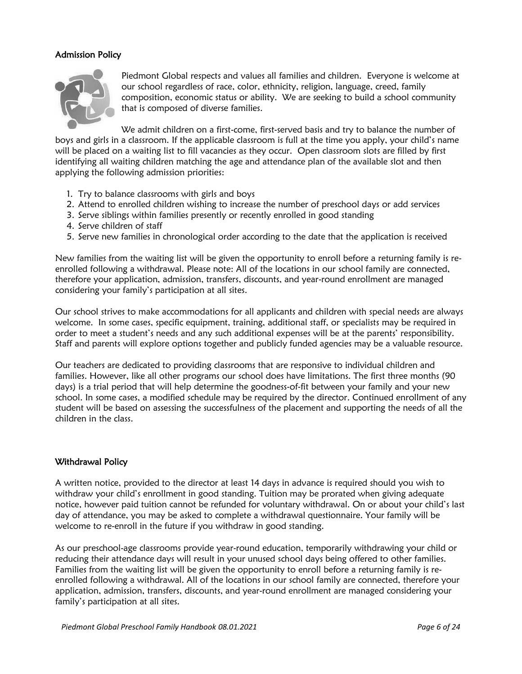#### Admission Policy



Piedmont Global respects and values all families and children. Everyone is welcome at our school regardless of race, color, ethnicity, religion, language, creed, family composition, economic status or ability. We are seeking to build a school community that is composed of diverse families.

We admit children on a first-come, first-served basis and try to balance the number of boys and girls in a classroom. If the applicable classroom is full at the time you apply, your child's name will be placed on a waiting list to fill vacancies as they occur. Open classroom slots are filled by first identifying all waiting children matching the age and attendance plan of the available slot and then applying the following admission priorities:

- 1. Try to balance classrooms with girls and boys
- 2. Attend to enrolled children wishing to increase the number of preschool days or add services
- 3. Serve siblings within families presently or recently enrolled in good standing
- 4. Serve children of staff
- 5. Serve new families in chronological order according to the date that the application is received

New families from the waiting list will be given the opportunity to enroll before a returning family is reenrolled following a withdrawal. Please note: All of the locations in our school family are connected, therefore your application, admission, transfers, discounts, and year-round enrollment are managed considering your family's participation at all sites.

Our school strives to make accommodations for all applicants and children with special needs are always welcome. In some cases, specific equipment, training, additional staff, or specialists may be required in order to meet a student's needs and any such additional expenses will be at the parents' responsibility. Staff and parents will explore options together and publicly funded agencies may be a valuable resource.

Our teachers are dedicated to providing classrooms that are responsive to individual children and families. However, like all other programs our school does have limitations. The first three months (90 days) is a trial period that will help determine the goodness-of-fit between your family and your new school. In some cases, a modified schedule may be required by the director. Continued enrollment of any student will be based on assessing the successfulness of the placement and supporting the needs of all the children in the class.

#### Withdrawal Policy

A written notice, provided to the director at least 14 days in advance is required should you wish to withdraw your child's enrollment in good standing. Tuition may be prorated when giving adequate notice, however paid tuition cannot be refunded for voluntary withdrawal. On or about your child's last day of attendance, you may be asked to complete a withdrawal questionnaire. Your family will be welcome to re-enroll in the future if you withdraw in good standing.

As our preschool-age classrooms provide year-round education, temporarily withdrawing your child or reducing their attendance days will result in your unused school days being offered to other families. Families from the waiting list will be given the opportunity to enroll before a returning family is reenrolled following a withdrawal. All of the locations in our school family are connected, therefore your application, admission, transfers, discounts, and year-round enrollment are managed considering your family's participation at all sites.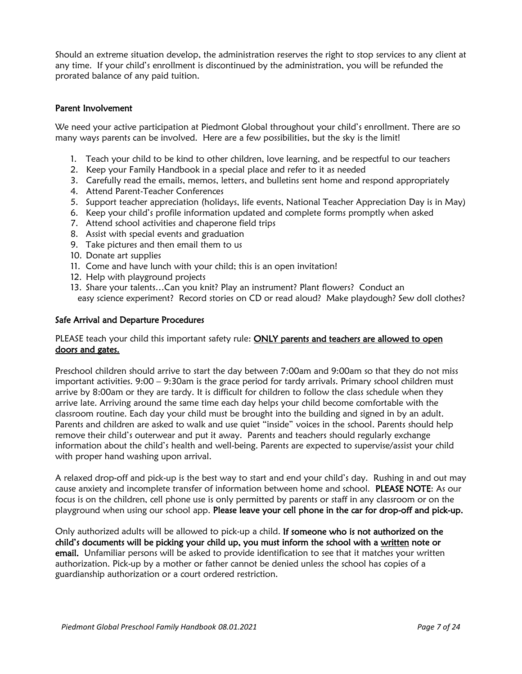Should an extreme situation develop, the administration reserves the right to stop services to any client at any time. If your child's enrollment is discontinued by the administration, you will be refunded the prorated balance of any paid tuition.

#### Parent Involvement

We need your active participation at Piedmont Global throughout your child's enrollment. There are so many ways parents can be involved. Here are a few possibilities, but the sky is the limit!

- 1. Teach your child to be kind to other children, love learning, and be respectful to our teachers
- 2. Keep your Family Handbook in a special place and refer to it as needed
- 3. Carefully read the emails, memos, letters, and bulletins sent home and respond appropriately
- 4. Attend Parent-Teacher Conferences
- 5. Support teacher appreciation (holidays, life events, National Teacher Appreciation Day is in May)
- 6. Keep your child's profile information updated and complete forms promptly when asked
- 7. Attend school activities and chaperone field trips
- 8. Assist with special events and graduation
- 9. Take pictures and then email them to us
- 10. Donate art supplies
- 11. Come and have lunch with your child; this is an open invitation!
- 12. Help with playground projects
- 13. Share your talents…Can you knit? Play an instrument? Plant flowers? Conduct an easy science experiment? Record stories on CD or read aloud? Make playdough? Sew doll clothes?

#### Safe Arrival and Departure Procedures

#### PLEASE teach your child this important safety rule: ONLY parents and teachers are allowed to open doors and gates.

Preschool children should arrive to start the day between 7:00am and 9:00am so that they do not miss important activities. 9:00 – 9:30am is the grace period for tardy arrivals. Primary school children must arrive by 8:00am or they are tardy. It is difficult for children to follow the class schedule when they arrive late. Arriving around the same time each day helps your child become comfortable with the classroom routine. Each day your child must be brought into the building and signed in by an adult. Parents and children are asked to walk and use quiet "inside" voices in the school. Parents should help remove their child's outerwear and put it away. Parents and teachers should regularly exchange information about the child's health and well-being. Parents are expected to supervise/assist your child with proper hand washing upon arrival.

A relaxed drop-off and pick-up is the best way to start and end your child's day. Rushing in and out may cause anxiety and incomplete transfer of information between home and school. PLEASE NOTE: As our focus is on the children, cell phone use is only permitted by parents or staff in any classroom or on the playground when using our school app. Please leave your cell phone in the car for drop-off and pick-up.

Only authorized adults will be allowed to pick-up a child. If someone who is not authorized on the child's documents will be picking your child up, you must inform the school with a written note or email. Unfamiliar persons will be asked to provide identification to see that it matches your written authorization. Pick-up by a mother or father cannot be denied unless the school has copies of a guardianship authorization or a court ordered restriction.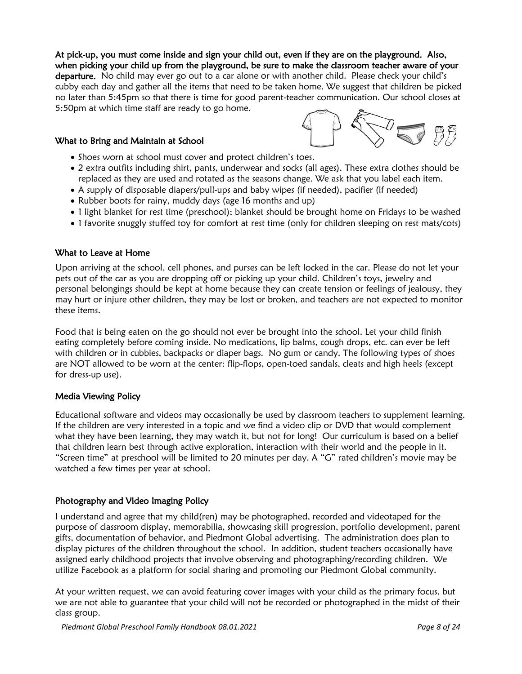At pick-up, you must come inside and sign your child out, even if they are on the playground. Also, when picking your child up from the playground, be sure to make the classroom teacher aware of your departure. No child may ever go out to a car alone or with another child. Please check your child's cubby each day and gather all the items that need to be taken home. We suggest that children be picked no later than 5:45pm so that there is time for good parent-teacher communication. Our school closes at 5:50pm at which time staff are ready to go home.

#### What to Bring and Maintain at School

- Shoes worn at school must cover and protect children's toes.
- 2 extra outfits including shirt, pants, underwear and socks (all ages). These extra clothes should be replaced as they are used and rotated as the seasons change. We ask that you label each item.
- A supply of disposable diapers/pull-ups and baby wipes (if needed), pacifier (if needed)
- Rubber boots for rainy, muddy days (age 16 months and up)
- 1 light blanket for rest time (preschool); blanket should be brought home on Fridays to be washed
- 1 favorite snuggly stuffed toy for comfort at rest time (only for children sleeping on rest mats/cots)

#### What to Leave at Home

Upon arriving at the school, cell phones, and purses can be left locked in the car. Please do not let your pets out of the car as you are dropping off or picking up your child. Children's toys, jewelry and personal belongings should be kept at home because they can create tension or feelings of jealousy, they may hurt or injure other children, they may be lost or broken, and teachers are not expected to monitor these items.

Food that is being eaten on the go should not ever be brought into the school. Let your child finish eating completely before coming inside. No medications, lip balms, cough drops, etc. can ever be left with children or in cubbies, backpacks or diaper bags. No gum or candy. The following types of shoes are NOT allowed to be worn at the center: flip-flops, open-toed sandals, cleats and high heels (except for dress-up use).

#### Media Viewing Policy

Educational software and videos may occasionally be used by classroom teachers to supplement learning. If the children are very interested in a topic and we find a video clip or DVD that would complement what they have been learning, they may watch it, but not for long! Our curriculum is based on a belief that children learn best through active exploration, interaction with their world and the people in it. "Screen time" at preschool will be limited to 20 minutes per day. A "G" rated children's movie may be watched a few times per year at school.

#### Photography and Video Imaging Policy

I understand and agree that my child(ren) may be photographed, recorded and videotaped for the purpose of classroom display, memorabilia, showcasing skill progression, portfolio development, parent gifts, documentation of behavior, and Piedmont Global advertising. The administration does plan to display pictures of the children throughout the school. In addition, student teachers occasionally have assigned early childhood projects that involve observing and photographing/recording children. We utilize Facebook as a platform for social sharing and promoting our Piedmont Global community.

At your written request, we can avoid featuring cover images with your child as the primary focus, but we are not able to guarantee that your child will not be recorded or photographed in the midst of their class group.

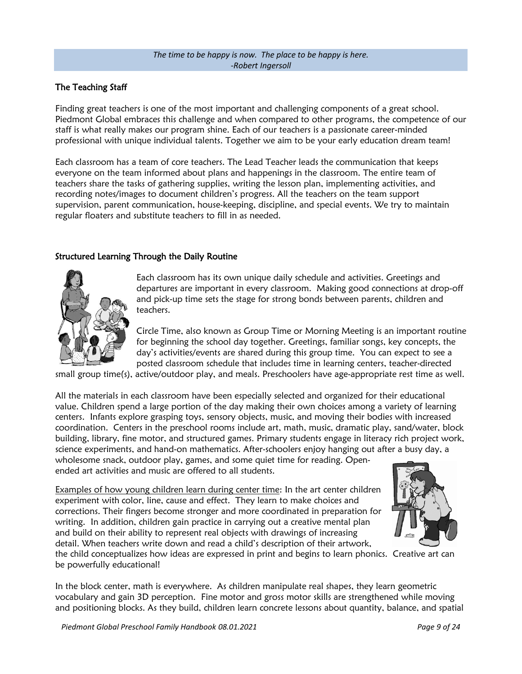#### *The time to be happy is now. The place to be happy is here. -Robert Ingersoll*

#### The Teaching Staff

Finding great teachers is one of the most important and challenging components of a great school. Piedmont Global embraces this challenge and when compared to other programs, the competence of our staff is what really makes our program shine. Each of our teachers is a passionate career-minded professional with unique individual talents. Together we aim to be your early education dream team!

Each classroom has a team of core teachers. The Lead Teacher leads the communication that keeps everyone on the team informed about plans and happenings in the classroom. The entire team of teachers share the tasks of gathering supplies, writing the lesson plan, implementing activities, and recording notes/images to document children's progress. All the teachers on the team support supervision, parent communication, house-keeping, discipline, and special events. We try to maintain regular floaters and substitute teachers to fill in as needed.

#### Structured Learning Through the Daily Routine



Each classroom has its own unique daily schedule and activities. Greetings and departures are important in every classroom. Making good connections at drop-off and pick-up time sets the stage for strong bonds between parents, children and teachers.

Circle Time, also known as Group Time or Morning Meeting is an important routine for beginning the school day together. Greetings, familiar songs, key concepts, the day's activities/events are shared during this group time. You can expect to see a posted classroom schedule that includes time in learning centers, teacher-directed

small group time(s), active/outdoor play, and meals. Preschoolers have age-appropriate rest time as well.

All the materials in each classroom have been especially selected and organized for their educational value. Children spend a large portion of the day making their own choices among a variety of learning centers. Infants explore grasping toys, sensory objects, music, and moving their bodies with increased coordination. Centers in the preschool rooms include art, math, music, dramatic play, sand/water, block building, library, fine motor, and structured games. Primary students engage in literacy rich project work, science experiments, and hand-on mathematics. After-schoolers enjoy hanging out after a busy day, a wholesome snack, outdoor play, games, and some quiet time for reading. Openended art activities and music are offered to all students.

Examples of how young children learn during center time: In the art center children experiment with color, line, cause and effect. They learn to make choices and corrections. Their fingers become stronger and more coordinated in preparation for writing. In addition, children gain practice in carrying out a creative mental plan and build on their ability to represent real objects with drawings of increasing detail. When teachers write down and read a child's description of their artwork,



the child conceptualizes how ideas are expressed in print and begins to learn phonics. Creative art can be powerfully educational!

In the block center, math is everywhere. As children manipulate real shapes, they learn geometric vocabulary and gain 3D perception. Fine motor and gross motor skills are strengthened while moving and positioning blocks. As they build, children learn concrete lessons about quantity, balance, and spatial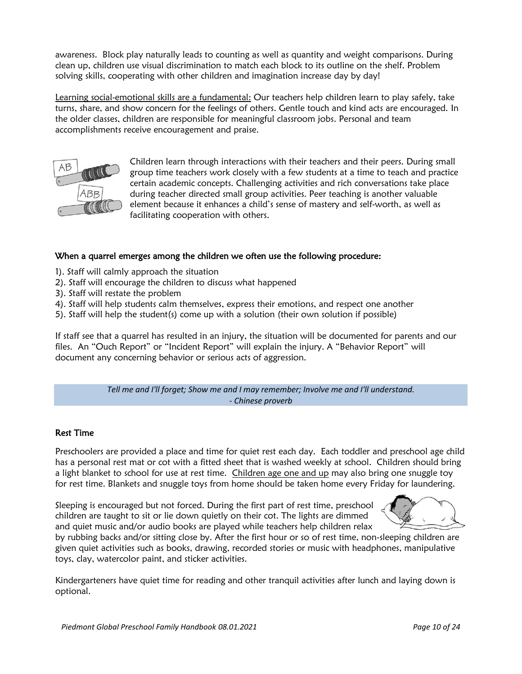awareness. Block play naturally leads to counting as well as quantity and weight comparisons. During clean up, children use visual discrimination to match each block to its outline on the shelf. Problem solving skills, cooperating with other children and imagination increase day by day!

Learning social-emotional skills are a fundamental: Our teachers help children learn to play safely, take turns, share, and show concern for the feelings of others. Gentle touch and kind acts are encouraged. In the older classes, children are responsible for meaningful classroom jobs. Personal and team accomplishments receive encouragement and praise.



Children learn through interactions with their teachers and their peers. During small group time teachers work closely with a few students at a time to teach and practice certain academic concepts. Challenging activities and rich conversations take place during teacher directed small group activities. Peer teaching is another valuable element because it enhances a child's sense of mastery and self-worth, as well as facilitating cooperation with others.

#### When a quarrel emerges among the children we often use the following procedure:

- 1). Staff will calmly approach the situation
- 2). Staff will encourage the children to discuss what happened
- 3). Staff will restate the problem
- 4). Staff will help students calm themselves, express their emotions, and respect one another
- 5). Staff will help the student(s) come up with a solution (their own solution if possible)

If staff see that a quarrel has resulted in an injury, the situation will be documented for parents and our files. An "Ouch Report" or "Incident Report" will explain the injury. A "Behavior Report" will document any concerning behavior or serious acts of aggression.

> *Tell me and I'll forget; Show me and I may remember; Involve me and I'll understand. - Chinese proverb*

#### Rest Time

Preschoolers are provided a place and time for quiet rest each day. Each toddler and preschool age child has a personal rest mat or cot with a fitted sheet that is washed weekly at school. Children should bring a light blanket to school for use at rest time. Children age one and up may also bring one snuggle toy for rest time. Blankets and snuggle toys from home should be taken home every Friday for laundering.

Sleeping is encouraged but not forced. During the first part of rest time, preschool children are taught to sit or lie down quietly on their cot. The lights are dimmed and quiet music and/or audio books are played while teachers help children relax



by rubbing backs and/or sitting close by. After the first hour or so of rest time, non-sleeping children are given quiet activities such as books, drawing, recorded stories or music with headphones, manipulative toys, clay, watercolor paint, and sticker activities.

Kindergarteners have quiet time for reading and other tranquil activities after lunch and laying down is optional.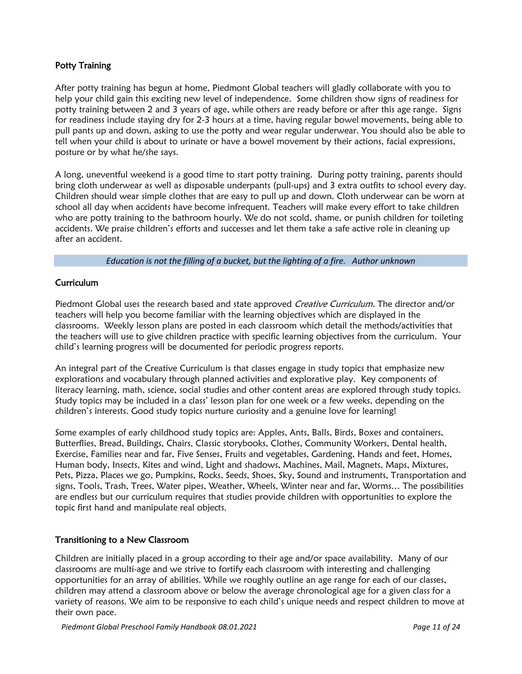#### Potty Training

After potty training has begun at home, Piedmont Global teachers will gladly collaborate with you to help your child gain this exciting new level of independence. Some children show signs of readiness for potty training between 2 and 3 years of age, while others are ready before or after this age range. Signs for readiness include staying dry for 2-3 hours at a time, having regular bowel movements, being able to pull pants up and down, asking to use the potty and wear regular underwear. You should also be able to tell when your child is about to urinate or have a bowel movement by their actions, facial expressions, posture or by what he/she says.

A long, uneventful weekend is a good time to start potty training. During potty training, parents should bring cloth underwear as well as disposable underpants (pull-ups) and 3 extra outfits to school every day. Children should wear simple clothes that are easy to pull up and down. Cloth underwear can be worn at school all day when accidents have become infrequent. Teachers will make every effort to take children who are potty training to the bathroom hourly. We do not scold, shame, or punish children for toileting accidents. We praise children's efforts and successes and let them take a safe active role in cleaning up after an accident.

#### *Education is not the filling of a bucket, but the lighting of a fire. Author unknown*

#### Curriculum

Piedmont Global uses the research based and state approved Creative Curriculum. The director and/or teachers will help you become familiar with the learning objectives which are displayed in the classrooms. Weekly lesson plans are posted in each classroom which detail the methods/activities that the teachers will use to give children practice with specific learning objectives from the curriculum. Your child's learning progress will be documented for periodic progress reports.

An integral part of the Creative Curriculum is that classes engage in study topics that emphasize new explorations and vocabulary through planned activities and explorative play. Key components of literacy learning, math, science, social studies and other content areas are explored through study topics. Study topics may be included in a class' lesson plan for one week or a few weeks, depending on the children's interests. Good study topics nurture curiosity and a genuine love for learning!

Some examples of early childhood study topics are: Apples, Ants, Balls, Birds, Boxes and containers, Butterflies, Bread, Buildings, Chairs, Classic storybooks, Clothes, Community Workers, Dental health, Exercise, Families near and far, Five Senses, Fruits and vegetables, Gardening, Hands and feet, Homes, Human body, Insects, Kites and wind, Light and shadows, Machines, Mail, Magnets, Maps, Mixtures, Pets, Pizza, Places we go, Pumpkins, Rocks, Seeds, Shoes, Sky, Sound and instruments, Transportation and signs, Tools, Trash, Trees, Water pipes, Weather, Wheels, Winter near and far, Worms… The possibilities are endless but our curriculum requires that studies provide children with opportunities to explore the topic first hand and manipulate real objects.

#### Transitioning to a New Classroom

Children are initially placed in a group according to their age and/or space availability. Many of our classrooms are multi-age and we strive to fortify each classroom with interesting and challenging opportunities for an array of abilities. While we roughly outline an age range for each of our classes, children may attend a classroom above or below the average chronological age for a given class for a variety of reasons. We aim to be responsive to each child's unique needs and respect children to move at their own pace.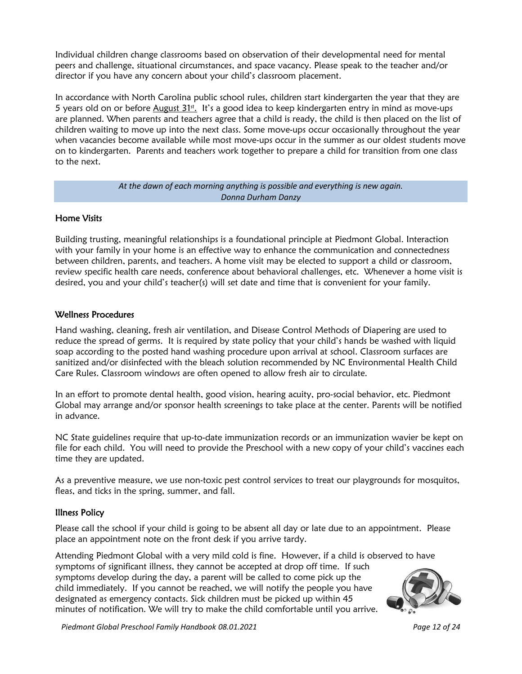Individual children change classrooms based on observation of their developmental need for mental peers and challenge, situational circumstances, and space vacancy. Please speak to the teacher and/or director if you have any concern about your child's classroom placement.

In accordance with North Carolina public school rules, children start kindergarten the year that they are 5 years old on or before August 31st. It's a good idea to keep kindergarten entry in mind as move-ups are planned. When parents and teachers agree that a child is ready, the child is then placed on the list of children waiting to move up into the next class. Some move-ups occur occasionally throughout the year when vacancies become available while most move-ups occur in the summer as our oldest students move on to kindergarten. Parents and teachers work together to prepare a child for transition from one class to the next.

#### *At the dawn of each morning anything is possible and everything is new again. Donna Durham Danzy*

#### Home Visits

Building trusting, meaningful relationships is a foundational principle at Piedmont Global. Interaction with your family in your home is an effective way to enhance the communication and connectedness between children, parents, and teachers. A home visit may be elected to support a child or classroom, review specific health care needs, conference about behavioral challenges, etc. Whenever a home visit is desired, you and your child's teacher(s) will set date and time that is convenient for your family.

#### Wellness Procedures

Hand washing, cleaning, fresh air ventilation, and Disease Control Methods of Diapering are used to reduce the spread of germs. It is required by state policy that your child's hands be washed with liquid soap according to the posted hand washing procedure upon arrival at school. Classroom surfaces are sanitized and/or disinfected with the bleach solution recommended by NC Environmental Health Child Care Rules. Classroom windows are often opened to allow fresh air to circulate.

In an effort to promote dental health, good vision, hearing acuity, pro-social behavior, etc. Piedmont Global may arrange and/or sponsor health screenings to take place at the center. Parents will be notified in advance.

NC State guidelines require that up-to-date immunization records or an immunization wavier be kept on file for each child. You will need to provide the Preschool with a new copy of your child's vaccines each time they are updated.

As a preventive measure, we use non-toxic pest control services to treat our playgrounds for mosquitos, fleas, and ticks in the spring, summer, and fall.

#### Illness Policy

Please call the school if your child is going to be absent all day or late due to an appointment. Please place an appointment note on the front desk if you arrive tardy.

Attending Piedmont Global with a very mild cold is fine. However, if a child is observed to have symptoms of significant illness, they cannot be accepted at drop off time. If such symptoms develop during the day, a parent will be called to come pick up the child immediately. If you cannot be reached, we will notify the people you have designated as emergency contacts. Sick children must be picked up within 45 minutes of notification. We will try to make the child comfortable until you arrive.



*Piedmont Global Preschool Family Handbook 08.01.2021 Page 12 of 24*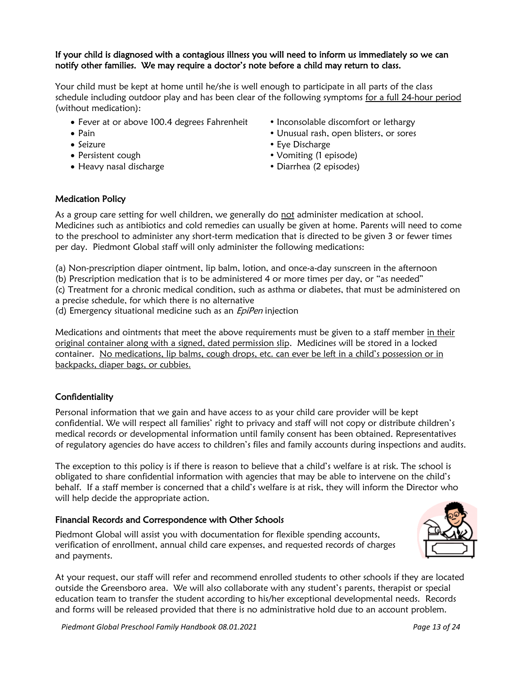#### If your child is diagnosed with a contagious illness you will need to inform us immediately so we can notify other families. We may require a doctor's note before a child may return to class.

Your child must be kept at home until he/she is well enough to participate in all parts of the class schedule including outdoor play and has been clear of the following symptoms for a full 24-hour period (without medication):

- Fever at or above 100.4 degrees Fahrenheit Inconsolable discomfort or lethargy
- 
- 
- 
- Heavy nasal discharge **but a control of the Contract of Contract** (2 episodes)
- 
- Pain  **Unusual rash, open blisters, or sores**
- Seizure **Eye Discharge**
- Persistent cough **Vomiting (1 episode)** 
	-

#### Medication Policy

As a group care setting for well children, we generally do not administer medication at school. Medicines such as antibiotics and cold remedies can usually be given at home. Parents will need to come to the preschool to administer any short-term medication that is directed to be given 3 or fewer times per day. Piedmont Global staff will only administer the following medications:

(a) Non-prescription diaper ointment, lip balm, lotion, and once-a-day sunscreen in the afternoon

(b) Prescription medication that is to be administered 4 or more times per day, or "as needed"

(c) Treatment for a chronic medical condition, such as asthma or diabetes, that must be administered on

a precise schedule, for which there is no alternative

(d) Emergency situational medicine such as an *EpiPen* injection

Medications and ointments that meet the above requirements must be given to a staff member in their original container along with a signed, dated permission slip. Medicines will be stored in a locked container. No medications, lip balms, cough drops, etc. can ever be left in a child's possession or in backpacks, diaper bags, or cubbies.

#### Confidentiality

Personal information that we gain and have access to as your child care provider will be kept confidential. We will respect all families' right to privacy and staff will not copy or distribute children's medical records or developmental information until family consent has been obtained. Representatives of regulatory agencies do have access to children's files and family accounts during inspections and audits.

The exception to this policy is if there is reason to believe that a child's welfare is at risk. The school is obligated to share confidential information with agencies that may be able to intervene on the child's behalf. If a staff member is concerned that a child's welfare is at risk, they will inform the Director who will help decide the appropriate action.

#### Financial Records and Correspondence with Other Schools

Piedmont Global will assist you with documentation for flexible spending accounts, verification of enrollment, annual child care expenses, and requested records of charges and payments.



At your request, our staff will refer and recommend enrolled students to other schools if they are located outside the Greensboro area. We will also collaborate with any student's parents, therapist or special education team to transfer the student according to his/her exceptional developmental needs. Records and forms will be released provided that there is no administrative hold due to an account problem.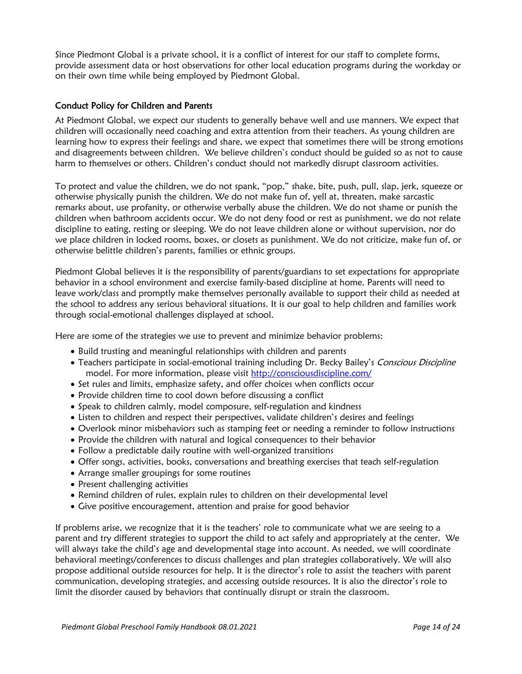Since Piedmont Global is a private school, it is a conflict of interest for our staff to complete forms, provide assessment data or host observations for other local education programs during the workday or on their own time while being employed by Piedmont Global.

#### Conduct Policy for Children and Parents

At Piedmont Global, we expect our students to generally behave well and use manners. We expect that children will occasionally need coaching and extra attention from their teachers. As young children are learning how to express their feelings and share, we expect that sometimes there will be strong emotions and disagreements between children. We believe children's conduct should be guided so as not to cause harm to themselves or others. Children's conduct should not markedly disrupt classroom activities.

To protect and value the children, we do not spank, "pop," shake, bite, push, pull, slap, jerk, squeeze or otherwise physically punish the children. We do not make fun of, yell at, threaten, make sarcastic remarks about, use profanity, or otherwise verbally abuse the children. We do not shame or punish the children when bathroom accidents occur. We do not deny food or rest as punishment, we do not relate discipline to eating, resting or sleeping. We do not leave children alone or without supervision, nor do we place children in locked rooms, boxes, or closets as punishment. We do not criticize, make fun of, or otherwise belittle children's parents, families or ethnic groups.

Piedmont Global believes it is the responsibility of parents/guardians to set expectations for appropriate behavior in a school environment and exercise family-based discipline at home. Parents will need to leave work/class and promptly make themselves personally available to support their child as needed at the school to address any serious behavioral situations. It is our goal to help children and families work through social-emotional challenges displayed at school.

Here are some of the strategies we use to prevent and minimize behavior problems:

- Build trusting and meaningful relationships with children and parents
- Teachers participate in social-emotional training including Dr. Becky Bailey's Conscious Discipline model. For more information, please visit<http://consciousdiscipline.com/>
- Set rules and limits, emphasize safety, and offer choices when conflicts occur
- Provide children time to cool down before discussing a conflict
- Speak to children calmly, model composure, self-regulation and kindness
- Listen to children and respect their perspectives, validate children's desires and feelings
- Overlook minor misbehaviors such as stamping feet or needing a reminder to follow instructions
- Provide the children with natural and logical consequences to their behavior
- Follow a predictable daily routine with well-organized transitions
- Offer songs, activities, books, conversations and breathing exercises that teach self-regulation
- Arrange smaller groupings for some routines
- Present challenging activities
- Remind children of rules, explain rules to children on their developmental level
- Give positive encouragement, attention and praise for good behavior

If problems arise, we recognize that it is the teachers' role to communicate what we are seeing to a parent and try different strategies to support the child to act safely and appropriately at the center. We will always take the child's age and developmental stage into account. As needed, we will coordinate behavioral meetings/conferences to discuss challenges and plan strategies collaboratively. We will also propose additional outside resources for help. It is the director's role to assist the teachers with parent communication, developing strategies, and accessing outside resources. It is also the director's role to limit the disorder caused by behaviors that continually disrupt or strain the classroom.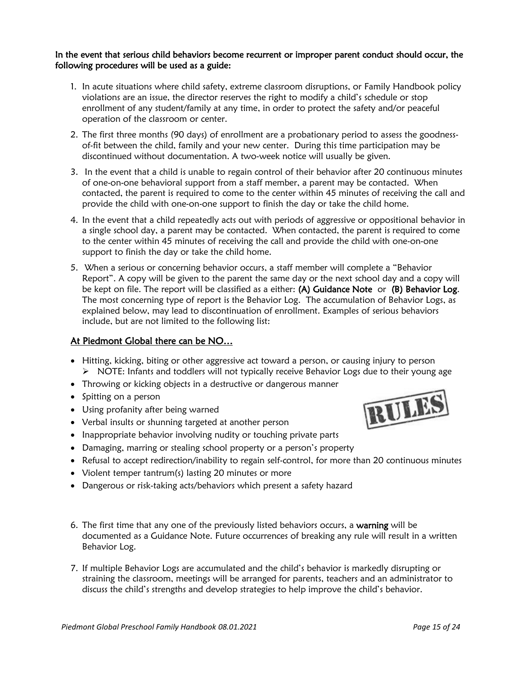#### In the event that serious child behaviors become recurrent or improper parent conduct should occur, the following procedures will be used as a guide:

- 1. In acute situations where child safety, extreme classroom disruptions, or Family Handbook policy violations are an issue, the director reserves the right to modify a child's schedule or stop enrollment of any student/family at any time, in order to protect the safety and/or peaceful operation of the classroom or center.
- 2. The first three months (90 days) of enrollment are a probationary period to assess the goodnessof-fit between the child, family and your new center. During this time participation may be discontinued without documentation. A two-week notice will usually be given.
- 3. In the event that a child is unable to regain control of their behavior after 20 continuous minutes of one-on-one behavioral support from a staff member, a parent may be contacted. When contacted, the parent is required to come to the center within 45 minutes of receiving the call and provide the child with one-on-one support to finish the day or take the child home.
- 4. In the event that a child repeatedly acts out with periods of aggressive or oppositional behavior in a single school day, a parent may be contacted. When contacted, the parent is required to come to the center within 45 minutes of receiving the call and provide the child with one-on-one support to finish the day or take the child home.
- 5. When a serious or concerning behavior occurs, a staff member will complete a "Behavior Report". A copy will be given to the parent the same day or the next school day and a copy will be kept on file. The report will be classified as a either: (A) Guidance Note or (B) Behavior Log. The most concerning type of report is the Behavior Log. The accumulation of Behavior Logs, as explained below, may lead to discontinuation of enrollment. Examples of serious behaviors include, but are not limited to the following list:

#### At Piedmont Global there can be NO…

- Hitting, kicking, biting or other aggressive act toward a person, or causing injury to person ➢ NOTE: Infants and toddlers will not typically receive Behavior Logs due to their young age
- Throwing or kicking objects in a destructive or dangerous manner
- Spitting on a person
- Using profanity after being warned
- Verbal insults or shunning targeted at another person
- Inappropriate behavior involving nudity or touching private parts
- Damaging, marring or stealing school property or a person's property
- Refusal to accept redirection/inability to regain self-control, for more than 20 continuous minutes
- Violent temper tantrum(s) lasting 20 minutes or more
- Dangerous or risk-taking acts/behaviors which present a safety hazard
- 6. The first time that any one of the previously listed behaviors occurs, a warning will be documented as a Guidance Note. Future occurrences of breaking any rule will result in a written Behavior Log.
- 7. If multiple Behavior Logs are accumulated and the child's behavior is markedly disrupting or straining the classroom, meetings will be arranged for parents, teachers and an administrator to discuss the child's strengths and develop strategies to help improve the child's behavior.

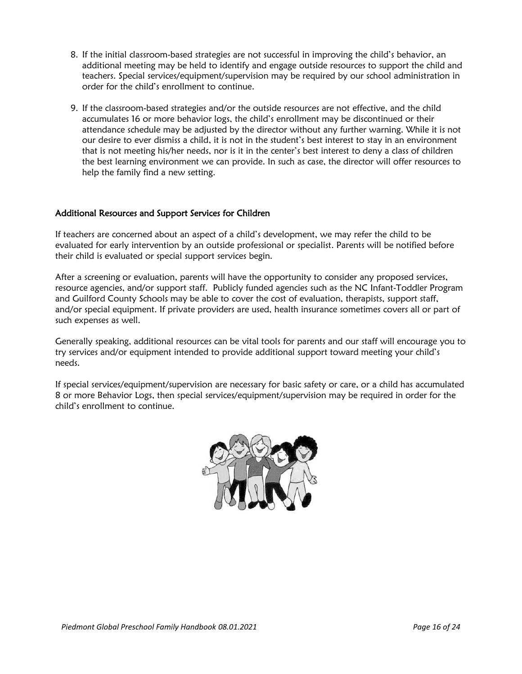- 8. If the initial classroom-based strategies are not successful in improving the child's behavior, an additional meeting may be held to identify and engage outside resources to support the child and teachers. Special services/equipment/supervision may be required by our school administration in order for the child's enrollment to continue.
- 9. If the classroom-based strategies and/or the outside resources are not effective, and the child accumulates 16 or more behavior logs, the child's enrollment may be discontinued or their attendance schedule may be adjusted by the director without any further warning. While it is not our desire to ever dismiss a child, it is not in the student's best interest to stay in an environment that is not meeting his/her needs, nor is it in the center's best interest to deny a class of children the best learning environment we can provide. In such as case, the director will offer resources to help the family find a new setting.

#### Additional Resources and Support Services for Children

If teachers are concerned about an aspect of a child's development, we may refer the child to be evaluated for early intervention by an outside professional or specialist. Parents will be notified before their child is evaluated or special support services begin.

After a screening or evaluation, parents will have the opportunity to consider any proposed services, resource agencies, and/or support staff. Publicly funded agencies such as the NC Infant-Toddler Program and Guilford County Schools may be able to cover the cost of evaluation, therapists, support staff, and/or special equipment. If private providers are used, health insurance sometimes covers all or part of such expenses as well.

Generally speaking, additional resources can be vital tools for parents and our staff will encourage you to try services and/or equipment intended to provide additional support toward meeting your child's needs.

If special services/equipment/supervision are necessary for basic safety or care, or a child has accumulated 8 or more Behavior Logs, then special services/equipment/supervision may be required in order for the child's enrollment to continue.

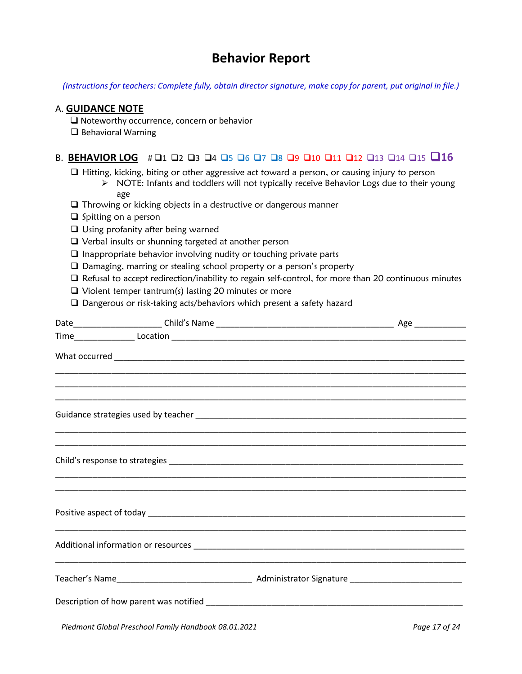# **Behavior Report**

*(Instructions for teachers: Complete fully, obtain director signature, make copy for parent, put original in file.)*

#### A. **GUIDANCE NOTE**

❑ Noteworthy occurrence, concern or behavior

❑ Behavioral Warning

#### B. **BEHAVIOR LOG** # ❑1 ❑2 ❑3 ❑4 ❑5 ❑6 ❑7 ❑8 ❑9 ❑10 ❑11 ❑12 ❑13 ❑14 ❑15 ❑**16**

❑ Hitting, kicking, biting or other aggressive act toward a person, or causing injury to person

- $\triangleright$  NOTE: Infants and toddlers will not typically receive Behavior Logs due to their young age
- ❑ Throwing or kicking objects in a destructive or dangerous manner
- ❑ Spitting on a person
- ❑ Using profanity after being warned
- ❑ Verbal insults or shunning targeted at another person
- ❑ Inappropriate behavior involving nudity or touching private parts
- ❑ Damaging, marring or stealing school property or a person's property
- ❑ Refusal to accept redirection/inability to regain self-control, for more than 20 continuous minutes
- ❑ Violent temper tantrum(s) lasting 20 minutes or more
- ❑ Dangerous or risk-taking acts/behaviors which present a safety hazard

|  | ,我们也不能在这里的时候,我们也不能在这里的时候,我们也不能在这里的时候,我们也不能会不能会不能会不能会不能会不能会不能会。""我们的人,我们也不能会不能会不能 |                |
|--|----------------------------------------------------------------------------------|----------------|
|  |                                                                                  |                |
|  |                                                                                  |                |
|  |                                                                                  |                |
|  |                                                                                  |                |
|  |                                                                                  |                |
|  | $D_{1}^{t}$ due out Claim December of Equal United to all 00.04.2024             | $P = 47 - 474$ |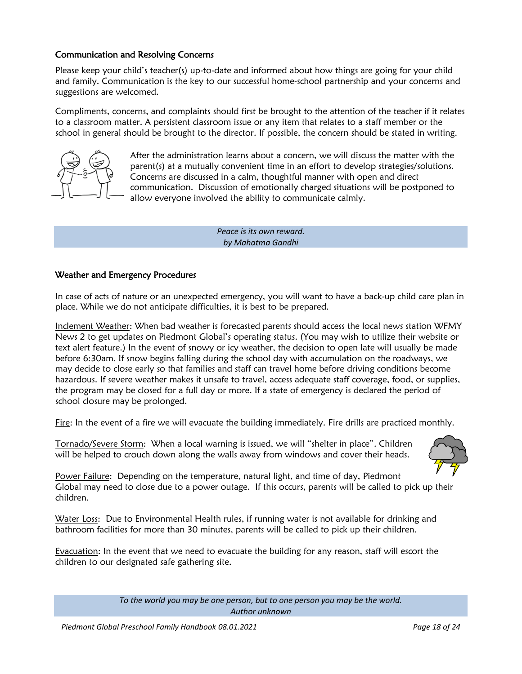#### Communication and Resolving Concerns

Please keep your child's teacher(s) up-to-date and informed about how things are going for your child and family. Communication is the key to our successful home-school partnership and your concerns and suggestions are welcomed.

Compliments, concerns, and complaints should first be brought to the attention of the teacher if it relates to a classroom matter. A persistent classroom issue or any item that relates to a staff member or the school in general should be brought to the director. If possible, the concern should be stated in writing.



After the administration learns about a concern, we will discuss the matter with the parent(s) at a mutually convenient time in an effort to develop strategies/solutions. Concerns are discussed in a calm, thoughtful manner with open and direct communication. Discussion of emotionally charged situations will be postponed to allow everyone involved the ability to communicate calmly.

> *Peace is its own reward. by Mahatma Gandhi*

#### Weather and Emergency Procedures

In case of acts of nature or an unexpected emergency, you will want to have a back-up child care plan in place. While we do not anticipate difficulties, it is best to be prepared.

Inclement Weather: When bad weather is forecasted parents should access the local news station WFMY News 2 to get updates on Piedmont Global's operating status. (You may wish to utilize their website or text alert feature.) In the event of snowy or icy weather, the decision to open late will usually be made before 6:30am. If snow begins falling during the school day with accumulation on the roadways, we may decide to close early so that families and staff can travel home before driving conditions become hazardous. If severe weather makes it unsafe to travel, access adequate staff coverage, food, or supplies, the program may be closed for a full day or more. If a state of emergency is declared the period of school closure may be prolonged.

Fire: In the event of a fire we will evacuate the building immediately. Fire drills are practiced monthly.

Tornado/Severe Storm: When a local warning is issued, we will "shelter in place". Children will be helped to crouch down along the walls away from windows and cover their heads.



Power Failure: Depending on the temperature, natural light, and time of day, Piedmont Global may need to close due to a power outage. If this occurs, parents will be called to pick up their children.

Water Loss: Due to Environmental Health rules, if running water is not available for drinking and bathroom facilities for more than 30 minutes, parents will be called to pick up their children.

Evacuation: In the event that we need to evacuate the building for any reason, staff will escort the children to our designated safe gathering site.

> *To the world you may be one person, but to one person you may be the world. Author unknown*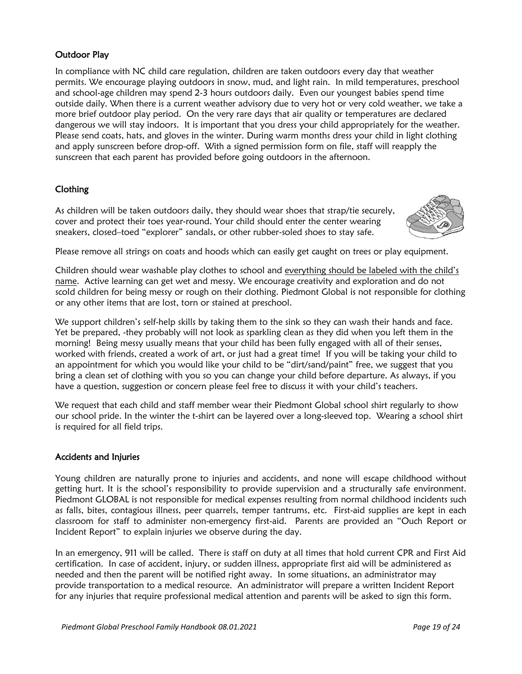#### Outdoor Play

In compliance with NC child care regulation, children are taken outdoors every day that weather permits. We encourage playing outdoors in snow, mud, and light rain. In mild temperatures, preschool and school-age children may spend 2-3 hours outdoors daily. Even our youngest babies spend time outside daily. When there is a current weather advisory due to very hot or very cold weather, we take a more brief outdoor play period. On the very rare days that air quality or temperatures are declared dangerous we will stay indoors. It is important that you dress your child appropriately for the weather. Please send coats, hats, and gloves in the winter. During warm months dress your child in light clothing and apply sunscreen before drop-off. With a signed permission form on file, staff will reapply the sunscreen that each parent has provided before going outdoors in the afternoon.

#### Clothing

As children will be taken outdoors daily, they should wear shoes that strap/tie securely, cover and protect their toes year-round. Your child should enter the center wearing sneakers, closed–toed "explorer" sandals, or other rubber-soled shoes to stay safe.



Please remove all strings on coats and hoods which can easily get caught on trees or play equipment.

Children should wear washable play clothes to school and everything should be labeled with the child's name. Active learning can get wet and messy. We encourage creativity and exploration and do not scold children for being messy or rough on their clothing. Piedmont Global is not responsible for clothing or any other items that are lost, torn or stained at preschool.

We support children's self-help skills by taking them to the sink so they can wash their hands and face. Yet be prepared, -they probably will not look as sparkling clean as they did when you left them in the morning! Being messy usually means that your child has been fully engaged with all of their senses, worked with friends, created a work of art, or just had a great time! If you will be taking your child to an appointment for which you would like your child to be "dirt/sand/paint" free, we suggest that you bring a clean set of clothing with you so you can change your child before departure. As always, if you have a question, suggestion or concern please feel free to discuss it with your child's teachers.

We request that each child and staff member wear their Piedmont Global school shirt regularly to show our school pride. In the winter the t-shirt can be layered over a long-sleeved top. Wearing a school shirt is required for all field trips.

#### Accidents and Injuries

Young children are naturally prone to injuries and accidents, and none will escape childhood without getting hurt. It is the school's responsibility to provide supervision and a structurally safe environment. Piedmont GLOBAL is not responsible for medical expenses resulting from normal childhood incidents such as falls, bites, contagious illness, peer quarrels, temper tantrums, etc. First-aid supplies are kept in each classroom for staff to administer non-emergency first-aid. Parents are provided an "Ouch Report or Incident Report" to explain injuries we observe during the day.

In an emergency, 911 will be called. There is staff on duty at all times that hold current CPR and First Aid certification. In case of accident, injury, or sudden illness, appropriate first aid will be administered as needed and then the parent will be notified right away. In some situations, an administrator may provide transportation to a medical resource. An administrator will prepare a written Incident Report for any injuries that require professional medical attention and parents will be asked to sign this form.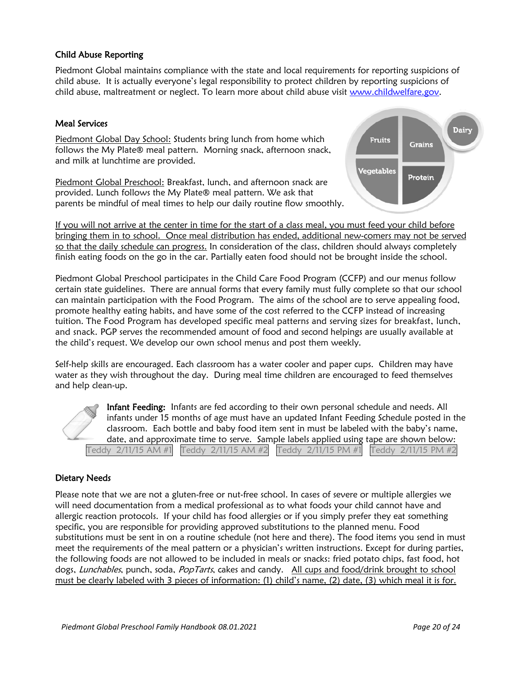#### Child Abuse Reporting

Piedmont Global maintains compliance with the state and local requirements for reporting suspicions of child abuse. It is actually everyone's legal responsibility to protect children by reporting suspicions of child abuse, maltreatment or neglect. To learn more about child abuse visit [www.childwelfare.gov.](http://www.childwelfare.gov/)

#### Meal Services

Piedmont Global Day School: Students bring lunch from home which follows the My Plate® meal pattern. Morning snack, afternoon snack, and milk at lunchtime are provided.

Piedmont Global Preschool: Breakfast, lunch, and afternoon snack are provided. Lunch follows the My Plate® meal pattern. We ask that parents be mindful of meal times to help our daily routine flow smoothly.



If you will not arrive at the center in time for the start of a class meal, you must feed your child before bringing them in to school. Once meal distribution has ended, additional new-comers may not be served so that the daily schedule can progress. In consideration of the class, children should always completely finish eating foods on the go in the car. Partially eaten food should not be brought inside the school.

Piedmont Global Preschool participates in the Child Care Food Program (CCFP) and our menus follow certain state guidelines. There are annual forms that every family must fully complete so that our school can maintain participation with the Food Program. The aims of the school are to serve appealing food, promote healthy eating habits, and have some of the cost referred to the CCFP instead of increasing tuition. The Food Program has developed specific meal patterns and serving sizes for breakfast, lunch, and snack. PGP serves the recommended amount of food and second helpings are usually available at the child's request. We develop our own school menus and post them weekly.

Self-help skills are encouraged. Each classroom has a water cooler and paper cups. Children may have water as they wish throughout the day. During meal time children are encouraged to feed themselves and help clean-up.

Infant Feeding: Infants are fed according to their own personal schedule and needs. All infants under 15 months of age must have an updated Infant Feeding Schedule posted in the classroom. Each bottle and baby food item sent in must be labeled with the baby's name, date, and approximate time to serve. Sample labels applied using tape are shown below: Teddy 2/11/15 AM #1 Teddy 2/11/15 AM #2 Teddy 2/11/15 PM #1 Teddy 2/11/15 PM #2

#### Dietary Needs

Please note that we are not a gluten-free or nut-free school. In cases of severe or multiple allergies we will need documentation from a medical professional as to what foods your child cannot have and allergic reaction protocols. If your child has food allergies or if you simply prefer they eat something specific, you are responsible for providing approved substitutions to the planned menu. Food substitutions must be sent in on a routine schedule (not here and there). The food items you send in must meet the requirements of the meal pattern or a physician's written instructions. Except for during parties, the following foods are not allowed to be included in meals or snacks: fried potato chips, fast food, hot dogs, Lunchables, punch, soda, PopTarts, cakes and candy. All cups and food/drink brought to school must be clearly labeled with 3 pieces of information: (1) child's name, (2) date, (3) which meal it is for.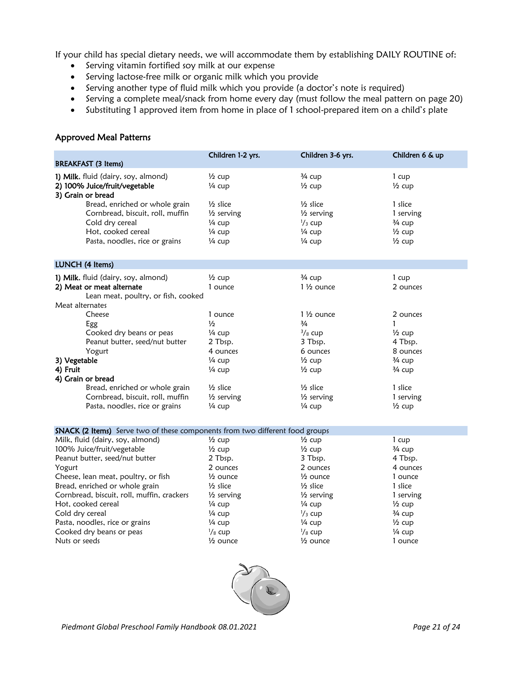If your child has special dietary needs, we will accommodate them by establishing DAILY ROUTINE of:

- Serving vitamin fortified soy milk at our expense
- Serving lactose-free milk or organic milk which you provide
- Serving another type of fluid milk which you provide (a doctor's note is required)
- Serving a complete meal/snack from home every day (must follow the meal pattern on page 20)
- Substituting 1 approved item from home in place of 1 school-prepared item on a child's plate

#### Approved Meal Patterns

|                                                                                                                                                                                                                                                                                                                                | Children 1-2 yrs.                                                                                                                                                             | Children 3-6 yrs.                                                                                                                                                                        | Children 6 & up                                                                                                                             |
|--------------------------------------------------------------------------------------------------------------------------------------------------------------------------------------------------------------------------------------------------------------------------------------------------------------------------------|-------------------------------------------------------------------------------------------------------------------------------------------------------------------------------|------------------------------------------------------------------------------------------------------------------------------------------------------------------------------------------|---------------------------------------------------------------------------------------------------------------------------------------------|
| <b>BREAKFAST</b> (3 Items)                                                                                                                                                                                                                                                                                                     |                                                                                                                                                                               |                                                                                                                                                                                          |                                                                                                                                             |
| 1) Milk, fluid (dairy, soy, almond)<br>2) 100% Juice/fruit/vegetable<br>3) Grain or bread                                                                                                                                                                                                                                      | $\frac{1}{2}$ cup<br>1/4 cup                                                                                                                                                  | 3/4 cup<br>$\frac{1}{2}$ cup                                                                                                                                                             | 1 cup<br>$\frac{1}{2}$ cup                                                                                                                  |
| Bread, enriched or whole grain<br>Cornbread, biscuit, roll, muffin<br>Cold dry cereal<br>Hot, cooked cereal<br>Pasta, noodles, rice or grains                                                                                                                                                                                  | $1/2$ slice<br>$\frac{1}{2}$ serving<br>$\frac{1}{4}$ cup<br>1/4 cup<br>$\frac{1}{4}$ cup                                                                                     | $1/2$ slice<br>$\frac{1}{2}$ serving<br>$\frac{1}{3}$ cup<br>1/4 cup<br>$\frac{1}{4}$ cup                                                                                                | 1 slice<br>1 serving<br>$\frac{3}{4}$ cup<br>$\frac{1}{2}$ cup<br>$\frac{1}{2}$ cup                                                         |
| LUNCH (4 Items)                                                                                                                                                                                                                                                                                                                |                                                                                                                                                                               |                                                                                                                                                                                          |                                                                                                                                             |
| 1) Milk, fluid (dairy, soy, almond)<br>2) Meat or meat alternate<br>Lean meat, poultry, or fish, cooked<br>Meat alternates                                                                                                                                                                                                     | $\frac{1}{2}$ cup<br>1 ounce                                                                                                                                                  | 3/4 cup<br>$1\frac{1}{2}$ ounce                                                                                                                                                          | $1 \text{ cup}$<br>2 ounces                                                                                                                 |
| Cheese<br>Egg<br>Cooked dry beans or peas<br>Peanut butter, seed/nut butter<br>Yogurt<br>3) Vegetable<br>4) Fruit<br>4) Grain or bread<br>Bread, enriched or whole grain<br>Cornbread, biscuit, roll, muffin<br>Pasta, noodles, rice or grains<br>SNACK (2 Items) Serve two of these components from two different food groups | 1 ounce<br>$\frac{1}{2}$<br>$\frac{1}{4}$ cup<br>2 Tbsp.<br>4 ounces<br>$\frac{1}{4}$ cup<br>$\frac{1}{4}$ cup<br>$1/2$ slice<br>1/ <sub>2</sub> serving<br>$\frac{1}{4}$ cup | $1\frac{1}{2}$ ounce<br>$\frac{3}{4}$<br>$3/8$ cup<br>3 Tbsp.<br>6 ounces<br>$\frac{1}{2}$ cup<br>$\frac{1}{2}$ cup<br>$\frac{1}{2}$ slice<br>$\frac{1}{2}$ serving<br>$\frac{1}{4}$ cup | 2 ounces<br>$\frac{1}{2}$ cup<br>4 Tbsp.<br>8 ounces<br>$\frac{3}{4}$ cup<br>$\frac{3}{4}$ cup<br>1 slice<br>1 serving<br>$\frac{1}{2}$ cup |

| <b>Printed to the training</b> before two of these components from two directed flood groups |                       |                       |                   |
|----------------------------------------------------------------------------------------------|-----------------------|-----------------------|-------------------|
| Milk, fluid (dairy, soy, almond)                                                             | $\frac{1}{2}$ cup     | $\frac{1}{2}$ cup     | 1 cup             |
| 100% Juice/fruit/vegetable                                                                   | $\frac{1}{2}$ cup     | $\frac{1}{2}$ cup     | 3⁄4 cup           |
| Peanut butter, seed/nut butter                                                               | 2 Tbsp.               | 3 Tbsp.               | 4 Tbsp.           |
| Yogurt                                                                                       | 2 ounces              | 2 ounces              | 4 ounces          |
| Cheese, lean meat, poultry, or fish                                                          | $\frac{1}{2}$ ounce   | $\frac{1}{2}$ ounce   | 1 ounce           |
| Bread, enriched or whole grain                                                               | $\frac{1}{2}$ slice   | $\frac{1}{2}$ slice   | 1 slice           |
| Cornbread, biscuit, roll, muffin, crackers                                                   | $\frac{1}{2}$ serving | $\frac{1}{2}$ serving | 1 serving         |
| Hot, cooked cereal                                                                           | 1⁄4 cup               | 1⁄4 cup               | $\frac{1}{2}$ cup |
| Cold dry cereal                                                                              | 1⁄4 cup               | $\frac{1}{3}$ cup     | $\frac{3}{4}$ cup |
| Pasta, noodles, rice or grains                                                               | $\frac{1}{4}$ cup     | $\frac{1}{4}$ cup     | $\frac{1}{2}$ cup |
| Cooked dry beans or peas                                                                     | $\frac{1}{8}$ cup     | $\frac{1}{8}$ cup     | $\frac{1}{4}$ cup |
| Nuts or seeds                                                                                | $\frac{1}{2}$ ounce   | $\frac{1}{2}$ ounce   | 1 ounce           |
|                                                                                              |                       |                       |                   |

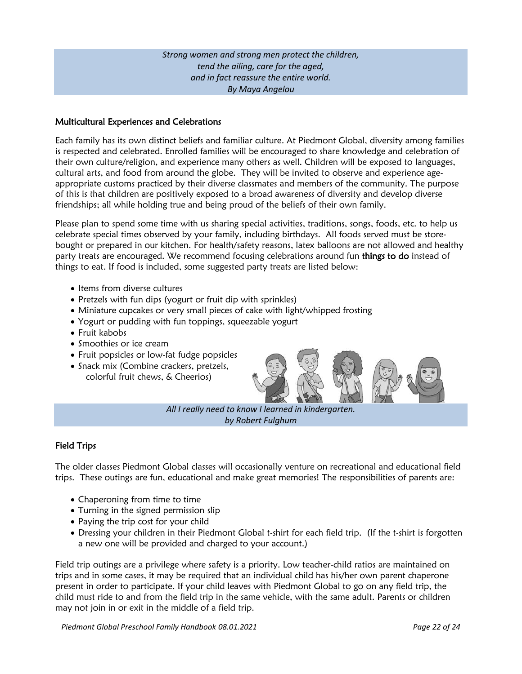*Strong women and strong men protect the children, tend the ailing, care for the aged, and in fact reassure the entire world. By Maya Angelou*

#### Multicultural Experiences and Celebrations

Each family has its own distinct beliefs and familiar culture. At Piedmont Global, diversity among families is respected and celebrated. Enrolled families will be encouraged to share knowledge and celebration of their own culture/religion, and experience many others as well. Children will be exposed to languages, cultural arts, and food from around the globe. They will be invited to observe and experience ageappropriate customs practiced by their diverse classmates and members of the community. The purpose of this is that children are positively exposed to a broad awareness of diversity and develop diverse friendships; all while holding true and being proud of the beliefs of their own family.

Please plan to spend some time with us sharing special activities, traditions, songs, foods, etc. to help us celebrate special times observed by your family, including birthdays. All foods served must be storebought or prepared in our kitchen. For health/safety reasons, latex balloons are not allowed and healthy party treats are encouraged. We recommend focusing celebrations around fun things to do instead of things to eat. If food is included, some suggested party treats are listed below:

- Items from diverse cultures
- Pretzels with fun dips (yogurt or fruit dip with sprinkles)
- Miniature cupcakes or very small pieces of cake with light/whipped frosting
- Yogurt or pudding with fun toppings, squeezable yogurt
- Fruit kabobs
- Smoothies or ice cream
- Fruit popsicles or low-fat fudge popsicles
- Snack mix (Combine crackers, pretzels, colorful fruit chews, & Cheerios)



*All I really need to know I learned in kindergarten. by Robert Fulghum*

#### Field Trips

The older classes Piedmont Global classes will occasionally venture on recreational and educational field trips. These outings are fun, educational and make great memories! The responsibilities of parents are:

- Chaperoning from time to time
- Turning in the signed permission slip
- Paying the trip cost for your child
- Dressing your children in their Piedmont Global t-shirt for each field trip. (If the t-shirt is forgotten a new one will be provided and charged to your account.)

Field trip outings are a privilege where safety is a priority. Low teacher-child ratios are maintained on trips and in some cases, it may be required that an individual child has his/her own parent chaperone present in order to participate. If your child leaves with Piedmont Global to go on any field trip, the child must ride to and from the field trip in the same vehicle, with the same adult. Parents or children may not join in or exit in the middle of a field trip.

*Piedmont Global Preschool Family Handbook 08.01.2021 Page 22 of 24*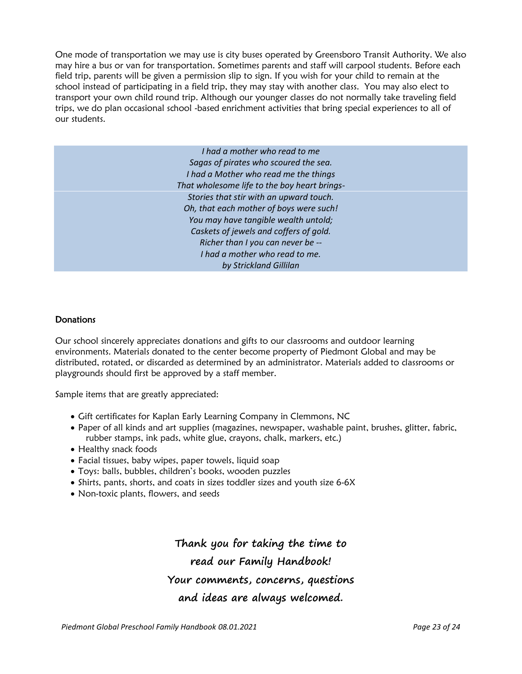One mode of transportation we may use is city buses operated by Greensboro Transit Authority. We also may hire a bus or van for transportation. Sometimes parents and staff will carpool students. Before each field trip, parents will be given a permission slip to sign. If you wish for your child to remain at the school instead of participating in a field trip, they may stay with another class. You may also elect to transport your own child round trip. Although our younger classes do not normally take traveling field trips, we do plan occasional school -based enrichment activities that bring special experiences to all of our students.

> *I had a mother who read to me Sagas of pirates who scoured the sea. I had a Mother who read me the things That wholesome life to the boy heart brings-Stories that stir with an upward touch. Oh, that each mother of boys were such! You may have tangible wealth untold; Caskets of jewels and coffers of gold. Richer than I you can never be -- I had a mother who read to me. by Strickland Gillilan*

#### **Donations**

Our school sincerely appreciates donations and gifts to our classrooms and outdoor learning environments. Materials donated to the center become property of Piedmont Global and may be distributed, rotated, or discarded as determined by an administrator. Materials added to classrooms or playgrounds should first be approved by a staff member.

Sample items that are greatly appreciated:

- Gift certificates for Kaplan Early Learning Company in Clemmons, NC
- Paper of all kinds and art supplies (magazines, newspaper, washable paint, brushes, glitter, fabric, rubber stamps, ink pads, white glue, crayons, chalk, markers, etc.)
- Healthy snack foods
- Facial tissues, baby wipes, paper towels, liquid soap
- Toys: balls, bubbles, children's books, wooden puzzles
- Shirts, pants, shorts, and coats in sizes toddler sizes and youth size 6-6X
- Non-toxic plants, flowers, and seeds

**Thank you for taking the time to read our Family Handbook! Your comments, concerns, questions and ideas are always welcomed.**